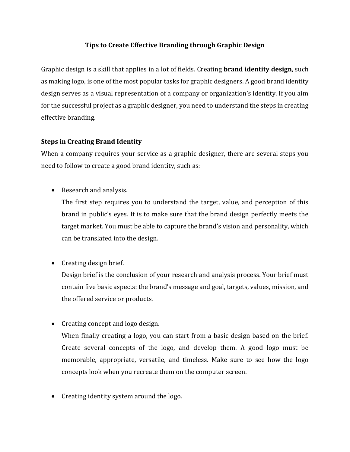## **Tips to Create Effective Branding through Graphic Design**

Graphic design is a skill that applies in a lot of fields. Creating **brand identity design**, such as making logo, is one of the most popular tasks for graphic designers. A good brand identity design serves as a visual representation of a company or organization's identity. If you aim for the successful project as a graphic designer, you need to understand the steps in creating effective branding.

## **Steps in Creating Brand Identity**

When a company requires your service as a graphic designer, there are several steps you need to follow to create a good brand identity, such as:

• Research and analysis.

The first step requires you to understand the target, value, and perception of this brand in public's eyes. It is to make sure that the brand design perfectly meets the target market. You must be able to capture the brand's vision and personality, which can be translated into the design.

• Creating design brief.

Design brief is the conclusion of your research and analysis process. Your brief must contain five basic aspects: the brand's message and goal, targets, values, mission, and the offered service or products.

• Creating concept and logo design.

When finally creating a logo, you can start from a basic design based on the brief. Create several concepts of the logo, and develop them. A good logo must be memorable, appropriate, versatile, and timeless. Make sure to see how the logo concepts look when you recreate them on the computer screen.

• Creating identity system around the logo.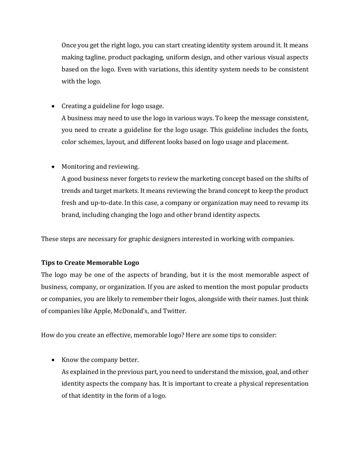Once you get the right logo, you can start creating identity system around it. It means making tagline, product packaging, uniform design, and other various visual aspects based on the logo. Even with variations, this identity system needs to be consistent with the logo.

• Creating a guideline for logo usage.

A business may need to use the logo in various ways. To keep the message consistent, you need to create a guideline for the logo usage. This guideline includes the fonts, color schemes, layout, and different looks based on logo usage and placement.

• Monitoring and reviewing.

A good business never forgets to review the marketing concept based on the shifts of trends and target markets. It means reviewing the brand concept to keep the product fresh and up-to-date. In this case, a company or organization may need to revamp its brand, including changing the logo and other brand identity aspects.

These steps are necessary for graphic designers interested in working with companies.

## **Tips to Create Memorable Logo**

The logo may be one of the aspects of branding, but it is the most memorable aspect of business, company, or organization. If you are asked to mention the most popular products or companies, you are likely to remember their logos, alongside with their names. Just think of companies like Apple, McDonald's, and Twitter.

How do you create an effective, memorable logo? Here are some tips to consider:

• Know the company better.

As explained in the previous part, you need to understand the mission, goal, and other identity aspects the company has. It is important to create a physical representation of that identity in the form of a logo.